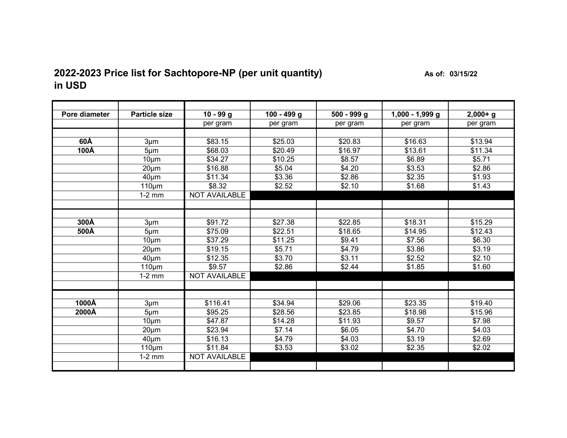## **2022-2023 Price list for Sachtopore-NP (per unit quantity)** As of: 03/15/22 **in USD**

| Pore diameter | <b>Particle size</b> | $10 - 99 g$          | 100 - 499 g | $500 - 999$ g | $1,000 - 1,999$ g | $2,000+g$ |
|---------------|----------------------|----------------------|-------------|---------------|-------------------|-----------|
|               |                      | per gram             | per gram    |               |                   | per gram  |
|               |                      |                      |             | per gram      | per gram          |           |
|               |                      |                      |             |               |                   |           |
| 60Å           | $3 \mu m$            | \$83.15              | \$25.03     | \$20.83       | \$16.63           | \$13.94   |
| 100Å          | $5 \mu m$            | \$68.03              | \$20.49     | \$16.97       | \$13.61           | \$11.34   |
|               | 10 <sub>µ</sub> m    | \$34.27              | \$10.25     | \$8.57        | \$6.89            | \$5.71    |
|               | $20 \mu m$           | \$16.88              | \$5.04      | \$4.20        | \$3.53            | \$2.86    |
|               | $40 \mu m$           | \$11.34              | \$3.36      | \$2.86        | \$2.35            | \$1.93    |
|               | $110 \mu m$          | \$8.32               | \$2.52      | \$2.10        | \$1.68            | \$1.43    |
|               | $1-2$ mm             | <b>NOT AVAILABLE</b> |             |               |                   |           |
|               |                      |                      |             |               |                   |           |
|               |                      |                      |             |               |                   |           |
| 300Å          | $3 \mu m$            | \$91.72              | \$27.38     | \$22.85       | \$18.31           | \$15.29   |
| 500Å          | $5 \mu m$            | \$75.09              | \$22.51     | \$18.65       | \$14.95           | \$12.43   |
|               | $10 \mu m$           | \$37.29              | \$11.25     | \$9.41        | \$7.56            | \$6.30    |
|               | $20 \mu m$           | \$19.15              | \$5.71      | \$4.79        | \$3.86            | \$3.19    |
|               | $40 \mu m$           | \$12.35              | \$3.70      | \$3.11        | \$2.52            | \$2.10    |
|               | $110 \mu m$          | \$9.57               | \$2.86      | \$2.44        | \$1.85            | \$1.60    |
|               | $1-2$ mm             | <b>NOT AVAILABLE</b> |             |               |                   |           |
|               |                      |                      |             |               |                   |           |
|               |                      |                      |             |               |                   |           |
| 1000Å         | $3 \mu m$            | \$116.41             | \$34.94     | \$29.06       | \$23.35           | \$19.40   |
| 2000Å         | $5 \mu m$            | \$95.25              | \$28.56     | \$23.85       | \$18.98           | \$15.96   |
|               | $10 \mu m$           | \$47.87              | \$14.28     | \$11.93       | \$9.57            | \$7.98    |
|               | $20 \mu m$           | \$23.94              | \$7.14      | \$6.05        | \$4.70            | \$4.03    |
|               | $40 \mu m$           | \$16.13              | \$4.79      | \$4.03        | \$3.19            | \$2.69    |
|               | $110 \mu m$          | \$11.84              | \$3.53      | \$3.02        | \$2.35            | \$2.02    |
|               | $1-2$ mm             | <b>NOT AVAILABLE</b> |             |               |                   |           |
|               |                      |                      |             |               |                   |           |